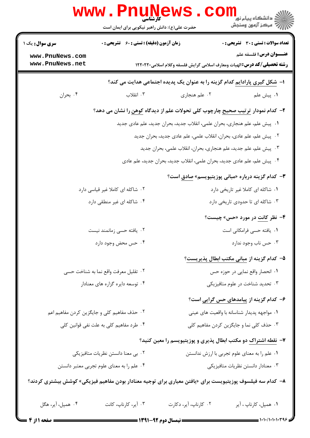|                                                                                                            | www.PnuNews<br>حضرت علی(ع): دانش راهبر نیکویی برای ایمان است                                 |                                                                            | ڪ دانشڪاه پيام نور<br>ا∛ مرڪز آزمون وسنڊش                        |  |  |  |
|------------------------------------------------------------------------------------------------------------|----------------------------------------------------------------------------------------------|----------------------------------------------------------------------------|------------------------------------------------------------------|--|--|--|
| <b>سری سوال :</b> یک ۱                                                                                     | زمان آزمون (دقیقه) : تستی : ۶۰٪ تشریحی : ۰                                                   |                                                                            | <b>تعداد سوالات : تستی : 30 ٪ تشریحی : 0</b>                     |  |  |  |
| www.PnuNews.com<br>www.PnuNews.net                                                                         |                                                                                              |                                                                            | <b>عنـــوان درس:</b> فلسفه علم                                   |  |  |  |
| <b>رشته تحصیلی/کد درس: ا</b> لهیات ومعارف اسلامی گرایش فلسفه وکلام اسلامی۲۲۰۲۲۰ ا                          |                                                                                              |                                                                            |                                                                  |  |  |  |
|                                                                                                            |                                                                                              | ا– شکل گیری پارادایم کدام گزینه را به عنوان یک پدیده اجتماعی هدایت می کند؟ |                                                                  |  |  |  |
| ۰۴ بحران                                                                                                   | ۰۳ انقلاب                                                                                    | ۰۲ علم هنجاري                                                              | ٠١. پيش علم                                                      |  |  |  |
|                                                                                                            | ۲- کدام نمودار <u>ترتیب صحیح</u> چارچوب کلی تحولات علم از دیدگاه <u>کوهن</u> را نشان می دهد؟ |                                                                            |                                                                  |  |  |  |
|                                                                                                            |                                                                                              | ١. پیش علم، علم هنجاری، بحران علمی، انقلاب جدید، بحران جدید، علم عادی جدید |                                                                  |  |  |  |
|                                                                                                            |                                                                                              | ۰۲ پیش علم، علم عادی، بحران، انقلاب علمی، علم عادی جدید، بحران جدید        |                                                                  |  |  |  |
|                                                                                                            | ۰۳ پیش علم، علم جدید، علم هنجاری، بحران، انقلاب علمی، بحران جدید                             |                                                                            |                                                                  |  |  |  |
|                                                                                                            |                                                                                              | ۰۴ پیش علم، علم عادی جدید، بحران علمی، انقلاب جدید، بحران جدید، علم عادی   |                                                                  |  |  |  |
|                                                                                                            |                                                                                              |                                                                            | <b>۳</b> – کدام گزینه درباره «مبانی پوزیتیویسم» <u>صادق</u> است؟ |  |  |  |
|                                                                                                            | ۰۲ شاکله ای کاملا غیر قیاسی دارد                                                             |                                                                            | ٠١. شاكله اى كاملا غير تاريخى دارد                               |  |  |  |
|                                                                                                            | ۰۴ شاکله ای غیر منطقی دارد                                                                   |                                                                            | ۰۳ شاکله ای تا حدودی تاریخی دارد                                 |  |  |  |
|                                                                                                            |                                                                                              |                                                                            | ۴- نظر <u>کانت</u> در مورد «حس» چیست؟                            |  |  |  |
|                                                                                                            | ۲. یافته حسی زمانمند نیست                                                                    |                                                                            | ٠١. يافته حسى فرامكاني است                                       |  |  |  |
|                                                                                                            | ۰۴ حس محض وجود دارد                                                                          |                                                                            | ۰۳ حس ناب وجود ندارد                                             |  |  |  |
|                                                                                                            |                                                                                              |                                                                            | ۵– کدام گزینه از <mark>مبانی مکتب ابطال پذیریست</mark> ؟         |  |  |  |
|                                                                                                            | ۰۲ تقلیل معرفت واقع نما به شناخت حسی                                                         |                                                                            | ٠١. انحصار واقع نمايي در حوزه حس                                 |  |  |  |
|                                                                                                            | ۰۴ توسعه دايره گزاره هاي معنادار                                                             |                                                                            | ۰۳ تحدید شناخت در علوم متافیزیکی                                 |  |  |  |
|                                                                                                            |                                                                                              |                                                                            | ۶- کدام گزینه از پیامدهای حس گرا <u>یی</u> است؟                  |  |  |  |
|                                                                                                            | ۰۲ حذف مفاهیم کلی و جایگزین کردن مفاهیم اعم                                                  | ۰۱ مواجهه پدیدار شناسانه با واقعیت های عینی                                |                                                                  |  |  |  |
|                                                                                                            | ۰۴ طرد مفاهیم کلی به علت نفی قوانین کلی                                                      |                                                                            | ۰۳ حذف کلی نما و جایگزین کردن مفاهیم کلی                         |  |  |  |
| ۷- نقطه اشتراک دو مکتب ابطال پذیری و پوزیتیویسم را معین کنید؟                                              |                                                                                              |                                                                            |                                                                  |  |  |  |
| ۰۲ بی معنا دانستن نظریات متافیزیکی                                                                         |                                                                                              |                                                                            | ٠١ علم را به معناي علوم تجربي با ارزش ندانستن                    |  |  |  |
| ۰۳ معنادار دانستن نظريات متافيزيكي<br>۰۴ علم را به معنای علوم تجربی معتبر دانستن                           |                                                                                              |                                                                            |                                                                  |  |  |  |
| ۸–  کدام سه فیلسوف پوزیتیویست برای «یافتن معیاری برای توجیه معنادار بودن مفاهیم فیزیکی» کوشش بیشتری کردند؟ |                                                                                              |                                                                            |                                                                  |  |  |  |
| ۰۴ همپل، آیر، هگل                                                                                          | ۰۳ آیر، کارناپ، کانت                                                                         | ۰۲ کارناپ، آیر، دکارت                                                      | ٠١ همپل، كارناپ ، آير                                            |  |  |  |
| = صفحه 1 از 4                                                                                              |                                                                                              |                                                                            |                                                                  |  |  |  |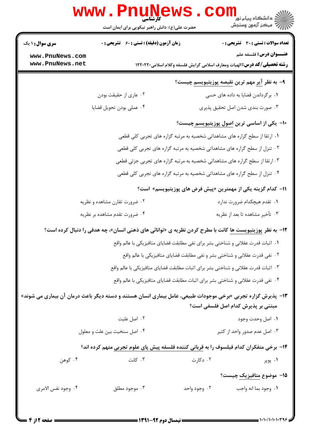|                                    | www.PnuNews<br>حضرت علی(ع): دانش راهبر نیکویی برای ایمان است                                                  |              | الله دانشگاه پیام نور<br>الله عرکز آزمهن وسنجش                                                                   |  |  |
|------------------------------------|---------------------------------------------------------------------------------------------------------------|--------------|------------------------------------------------------------------------------------------------------------------|--|--|
| <b>سری سوال : ۱ یک</b>             | <b>زمان آزمون (دقیقه) : تستی : 60 ٪ تشریحی : 0</b>                                                            |              | <b>تعداد سوالات : تستی : 30 ٪ تشریحی : 0</b>                                                                     |  |  |
| www.PnuNews.com<br>www.PnuNews.net |                                                                                                               |              | <b>عنـــوان درس:</b> فلسفه علم<br><b>رشته تحصیلی/کد درس:</b> الهیات ومعارف اسلامی گرایش فلسفه وکلام اسلامی۲۲۰۲۲۰ |  |  |
|                                    |                                                                                                               |              | ۹– به نظر <u>آیر</u> مهم ترین <u>نقیصه پوزیتیویسم</u> چیست؟                                                      |  |  |
|                                    | ۰۲ عاری از حقیقت بودن                                                                                         |              | ۰۱ برگرداندن قضایا به داده های حسی                                                                               |  |  |
|                                    | ۰۴ عملي بودن تحويل قضايا                                                                                      |              | ۰۳ صورت بندی شدن اصل تحقیق پذیری                                                                                 |  |  |
|                                    |                                                                                                               |              | ∙ا– یکی از اساسی ترین اصول پوزیتیویسم چیست؟                                                                      |  |  |
|                                    | ۱. ارتقا از سطح گراره های مشاهداتی شخصیه به مرتبه گزاره های تجربی کلی قطعی                                    |              |                                                                                                                  |  |  |
|                                    | ۰۲ تنزل از سطح گراره های مشاهداتی شخصیه به مرتبه گزاره های تجربی کلی قطعی                                     |              |                                                                                                                  |  |  |
|                                    |                                                                                                               |              | ۰۳ ارتقا از سطح گراره های مشاهداتی شخصیه به مرتبه گزاره های تجربی جزئی قطعی                                      |  |  |
|                                    |                                                                                                               |              | ۰۴ تنزل از سطح گراره های مشاهداتی شخصیه به مرتبه گزاره های تجربی کلی قطعی                                        |  |  |
|                                    |                                                                                                               |              | 11– کدام گزینه یکی از مهمترین «پیش فرض های پوزیتیویسم» است؟                                                      |  |  |
|                                    | ۰۲ ضرورت تقارن مشاهده و نظریه                                                                                 |              | ۰۱ تقدم هیچکدام ضرورت ندارد                                                                                      |  |  |
|                                    | ۰۴ ضرورت تقدم مشاهده بر نظريه                                                                                 |              | ۰۳ تأخير مشاهده تا بعد از نظريه                                                                                  |  |  |
|                                    | ۱۲- به نظر پوزیتیویست ها کانت با مطرح کردن نظریه ی «توانائی های ذهنی انسان»، چه هدفی را دنبال کرده است؟       |              |                                                                                                                  |  |  |
|                                    |                                                                                                               |              | ١. اثبات قدرت عقلاني و شناختي بشر براي نفي مطابقت قضاياي متافيزيكي با عالم واقع                                  |  |  |
|                                    |                                                                                                               |              | ٢. نفي قدرت عقلاني و شناختي بشر و نفي مطابقت قضاياي متافيزيكي با عالم واقع                                       |  |  |
|                                    |                                                                                                               |              | ۰۳ اثبات قدرت عقلانی و شناختی بشر برای اثبات مطابقت قضایای متافیزیکی با عالم واقع                                |  |  |
|                                    |                                                                                                               |              | ۰۴ نفی قدرت عقلانی و شناختی بشر برای اثبات مطابقت قضایای متافیزیکی با عالم واقع                                  |  |  |
|                                    | ۱۳-  پذیرش گزاره تجربی «برخی موجودات طبیعی، عامل بیماری انسان هستند و دسته دیگر باعث درمان آن بیماری می شوند» |              | مبتنی بر پذیرش کدام اصل فلسفی است؟                                                                               |  |  |
|                                    | ۰۲ اصل عليت                                                                                                   |              | ۰۱ اصل وحدت وجود                                                                                                 |  |  |
|                                    | ۰۴ اصل سنخيت بين علت و معلول                                                                                  |              | ۰۳ اصل عدم صدور واحد از کثیر                                                                                     |  |  |
|                                    | ۱۴- برخی متفکران کدام فیلسوف را به <u>قربانی</u> کننده فلسفه پیش پای علوم تجربی متهم کرده اند؟                |              |                                                                                                                  |  |  |
| ۰۴ کوهن                            | ۰۳ کانت                                                                                                       | ۰۲ دکارت     | ۰۱ پوپر                                                                                                          |  |  |
|                                    |                                                                                                               |              | <b>۱۵</b> – موضوع <mark>متافیزیک چیست</mark> ؟                                                                   |  |  |
| ۴. وجود نفس الامري                 | ۰۳ موجود مطلق                                                                                                 | ۰۲ وجود واحد | ٠١. وجود بما انه واجب                                                                                            |  |  |
|                                    |                                                                                                               |              |                                                                                                                  |  |  |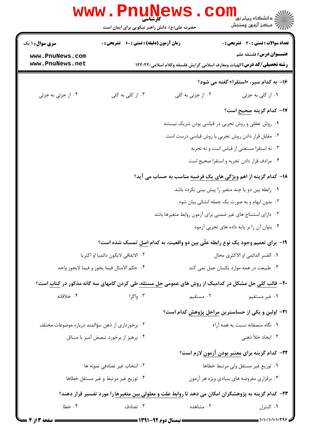|                                                                                                                    | <b>www.PnuNews</b><br>کارشناسی                     |                                                             |                                                                                                                            |  |
|--------------------------------------------------------------------------------------------------------------------|----------------------------------------------------|-------------------------------------------------------------|----------------------------------------------------------------------------------------------------------------------------|--|
|                                                                                                                    | حضرت علی(ع): دانش راهبر نیکویی برای ایمان است      |                                                             | ڪ دانشڪاه پيا <sub>م</sub> نور<br><mark>ر</mark> 7 مرڪز آزمون وسنڊش                                                        |  |
| <b>سری سوال :</b> ۱ یک                                                                                             | <b>زمان آزمون (دقیقه) : تستی : 60 ٪ تشریحی : 0</b> |                                                             | <b>تعداد سوالات : تستی : 30 ٪ تشریحی : 0</b>                                                                               |  |
| www.PnuNews.com<br>www.PnuNews.net                                                                                 |                                                    |                                                             | <b>عنـــوان درس:</b> فلسفه علم<br><b>رشته تحصیلی/کد درس: ا</b> لهیات ومعارف اسلامی گرایش فلسفه وکلام اسلامی۲۲۰۲۲۰ ا        |  |
|                                                                                                                    |                                                    |                                                             | ۱۶- به کدام سیر، «استقرا» گفته می شود؟                                                                                     |  |
| ۰۴ از جزئی به جزئی                                                                                                 | ۰۳ از کلی به کلی                                   | ۰۲ از جزئی به کلی                                           | ۰۱ از کلی به جزئی                                                                                                          |  |
|                                                                                                                    |                                                    |                                                             | ۱۷- کدام گزینه <u>صحیح</u> است؟                                                                                            |  |
|                                                                                                                    |                                                    |                                                             | ۰۱ روش تعقلی و روش تجربی در قیاسی بودن شریک نیستند                                                                         |  |
|                                                                                                                    |                                                    |                                                             | ۰۲ مقابل قرار دادن روش تجربی با روش قیاسی درست است                                                                         |  |
|                                                                                                                    |                                                    |                                                             | ۰۳ نه استقرا مستغنی از قیاس است و نه تجربه                                                                                 |  |
|                                                                                                                    |                                                    |                                                             | ۰۴ مرادف قرار دادن تجربه و استقرا صحيح است                                                                                 |  |
| <b>۱۸</b> - کدام گزینه از اهم <u>ویژگی های یک فرضیه</u> مناسب به حساب می آید؟                                      |                                                    |                                                             |                                                                                                                            |  |
|                                                                                                                    |                                                    |                                                             | ۰۱ رابطه بین دو یا چند متغیر را پیش بینی نکرده باشد                                                                        |  |
|                                                                                                                    |                                                    |                                                             | ۰۲ بدون ابهام و به صورت یک جمله انشائی بیان شود                                                                            |  |
|                                                                                                                    |                                                    | ۰۳ دارای استنتاج های غیر ضمنی برای آزمون روابط متغیرها باشد |                                                                                                                            |  |
|                                                                                                                    |                                                    |                                                             | ۰۴ بتوان آن را بر پایه داده های تجربی آزمود                                                                                |  |
|                                                                                                                    |                                                    |                                                             | ۱۹- برای تعمیم وجود یک نوع رابطه علّی بین دو واقعیت، به کدام اصل تمسک شده است؟                                             |  |
| ٠٢ الاتفاقي لايكون دائميا او اكثريا                                                                                |                                                    | ٠١. القسر الدائمي او الاكثرى محال                           |                                                                                                                            |  |
| ۰۴ حكم الامثال فيما يجوز و فيما لايجوز واحد                                                                        |                                                    | ۰۳ طبیعت در همه موارد یکسان عمل نمی کند                     |                                                                                                                            |  |
|                                                                                                                    |                                                    |                                                             | <b>۲۰</b> - قالب کل <u>ی</u> حل مشکل در کدامیک از روش های عمومی <u>حل مسئله،</u> طی کردن گامهای سه گانه مذکور در کتاب است؟ |  |
| ۰۴ خلاقانه                                                                                                         | ۰۳ واگرا                                           | ۰۲ مستقیم                                                   | ۰۱ غیر مستقیم                                                                                                              |  |
|                                                                                                                    |                                                    |                                                             | <b>۲۱</b> - اولین و یکی از حساسترین مراحل پژوهش کدام است؟                                                                  |  |
| ۰۲ برخورداری از ذهن سؤالمند درباره موضوعات مختلف                                                                   |                                                    | ٠١. نگاه منصفانه نسبت به همه آراء                           |                                                                                                                            |  |
| ۰۴ پرهيز از برخورد تبعيض آميز با مسائل                                                                             |                                                    |                                                             | ۰۳ ایجاد خلأ ذهنی                                                                                                          |  |
|                                                                                                                    |                                                    |                                                             | <b>۲۲</b> – کدام گزینه برای <mark>معتبر بودن آزمون</mark> لازم است؟                                                        |  |
|                                                                                                                    | ٠٢ انتخاب غير تصادفي نمونه ها                      | ٠١ توزيع غير مستقل ولى مرتبط خطاها                          |                                                                                                                            |  |
|                                                                                                                    | ۰۴ توزیع غیر مرتبط و غیر مستقل خطاها               | ۰۳ برقراری مفروضه های بنیادی ویژه هر آزمون                  |                                                                                                                            |  |
| <b>۲۳</b> – کدام گزینه به پژوهشگران امکان می دهد تا <u>روابط علت و معلولی</u> بین متغیرها را مورد تفسیر قرار دهند؟ |                                                    |                                                             |                                                                                                                            |  |
| ۰۴ خطا                                                                                                             | ۰۳ تصادف                                           | ۰۲ مشاهده                                                   | ۰۱ کنترل                                                                                                                   |  |